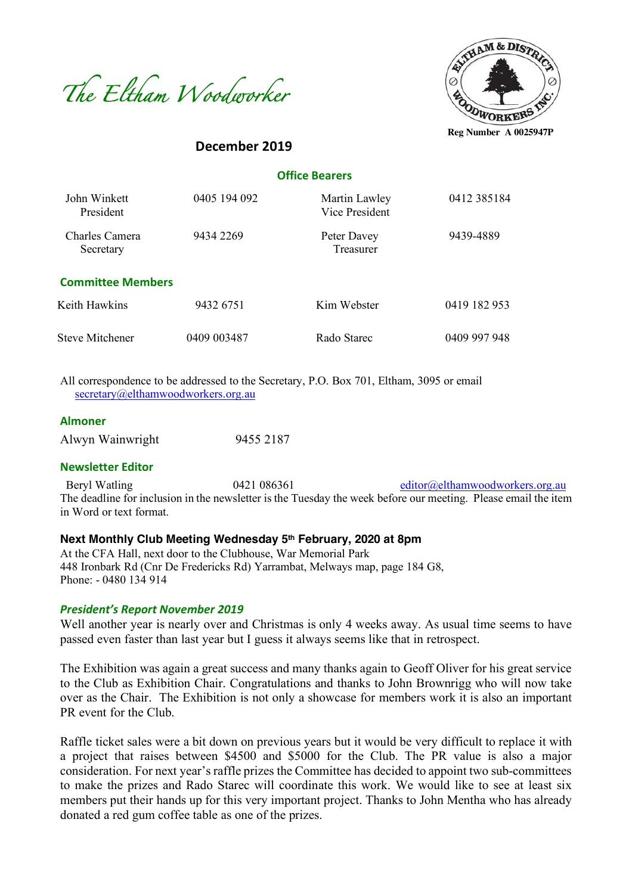



**December 2019**

 **Office Bearers**

| John Winkett<br>President   | 0405 194 092 | Martin Lawley<br>Vice President | 0412 385184  |
|-----------------------------|--------------|---------------------------------|--------------|
| Charles Camera<br>Secretary | 9434 2269    | Peter Davey<br>Treasurer        | 9439-4889    |
| <b>Committee Members</b>    |              |                                 |              |
| Keith Hawkins               | 9432 6751    | Kim Webster                     | 0419 182 953 |
| <b>Steve Mitchener</b>      | 0409 003487  | Rado Starec                     | 0409 997 948 |

All correspondence to be addressed to the Secretary, P.O. Box 701, Eltham, 3095 or email secretary@elthamwoodworkers.org.au

#### **Almoner**

Alwyn Wainwright 9455 2187

#### **Newsletter Editor**

Beryl Watling 0421 086361 editor@elthamwoodworkers.org.au The deadline for inclusion in the newsletter is the Tuesday the week before our meeting. Please email the item in Word or text format.

### **Next Monthly Club Meeting Wednesday 5th February, 2020 at 8pm**

At the CFA Hall, next door to the Clubhouse, War Memorial Park 448 Ironbark Rd (Cnr De Fredericks Rd) Yarrambat, Melways map, page 184 G8, Phone: - 0480 134 914

#### *President's Report November 2019*

Well another year is nearly over and Christmas is only 4 weeks away. As usual time seems to have passed even faster than last year but I guess it always seems like that in retrospect.

The Exhibition was again a great success and many thanks again to Geoff Oliver for his great service to the Club as Exhibition Chair. Congratulations and thanks to John Brownrigg who will now take over as the Chair. The Exhibition is not only a showcase for members work it is also an important PR event for the Club.

Raffle ticket sales were a bit down on previous years but it would be very difficult to replace it with a project that raises between \$4500 and \$5000 for the Club. The PR value is also a major consideration. For next year's raffle prizes the Committee has decided to appoint two sub-committees to make the prizes and Rado Starec will coordinate this work. We would like to see at least six members put their hands up for this very important project. Thanks to John Mentha who has already donated a red gum coffee table as one of the prizes.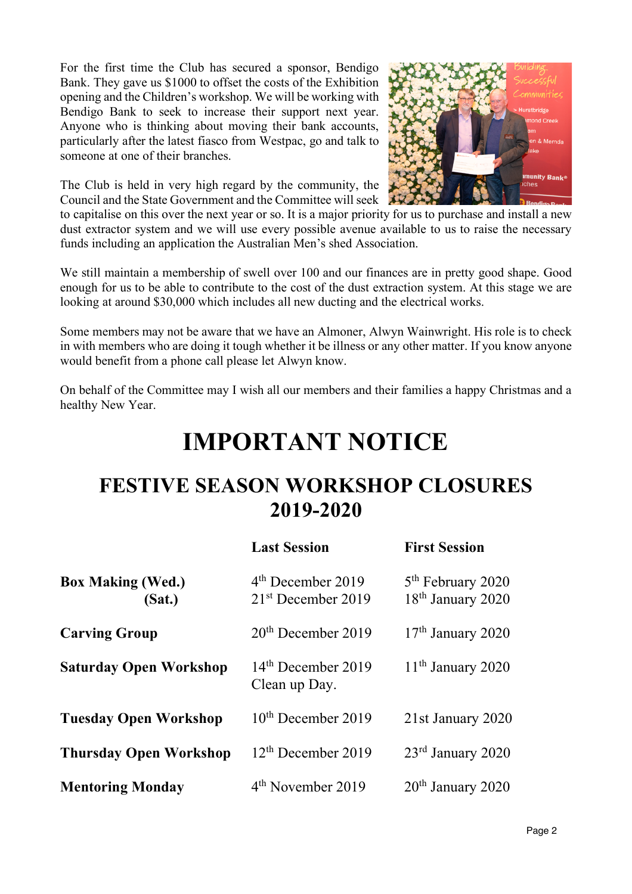For the first time the Club has secured a sponsor, Bendigo Bank. They gave us \$1000 to offset the costs of the Exhibition opening and the Children's workshop. We will be working with Bendigo Bank to seek to increase their support next year. Anyone who is thinking about moving their bank accounts, particularly after the latest fiasco from Westpac, go and talk to someone at one of their branches.

The Club is held in very high regard by the community, the Council and the State Government and the Committee will seek



to capitalise on this over the next year or so. It is a major priority for us to purchase and install a new dust extractor system and we will use every possible avenue available to us to raise the necessary funds including an application the Australian Men's shed Association.

We still maintain a membership of swell over 100 and our finances are in pretty good shape. Good enough for us to be able to contribute to the cost of the dust extraction system. At this stage we are looking at around \$30,000 which includes all new ducting and the electrical works.

Some members may not be aware that we have an Almoner, Alwyn Wainwright. His role is to check in with members who are doing it tough whether it be illness or any other matter. If you know anyone would benefit from a phone call please let Alwyn know.

On behalf of the Committee may I wish all our members and their families a happy Christmas and a healthy New Year.

# **IMPORTANT NOTICE**

# **FESTIVE SEASON WORKSHOP CLOSURES 2019-2020**

|                                    | <b>Last Session</b>                         | <b>First Session</b>                                           |
|------------------------------------|---------------------------------------------|----------------------------------------------------------------|
| <b>Box Making (Wed.)</b><br>(Sat.) | $4th$ December 2019<br>$21st$ December 2019 | 5 <sup>th</sup> February 2020<br>18 <sup>th</sup> January 2020 |
| <b>Carving Group</b>               | $20th$ December 2019                        | $17th$ January 2020                                            |
| <b>Saturday Open Workshop</b>      | $14th$ December 2019<br>Clean up Day.       | $11th$ January 2020                                            |
| <b>Tuesday Open Workshop</b>       | $10th$ December 2019                        | 21st January 2020                                              |
| <b>Thursday Open Workshop</b>      | $12th$ December 2019                        | $23rd$ January 2020                                            |
| <b>Mentoring Monday</b>            | 4 <sup>th</sup> November 2019               | $20th$ January 2020                                            |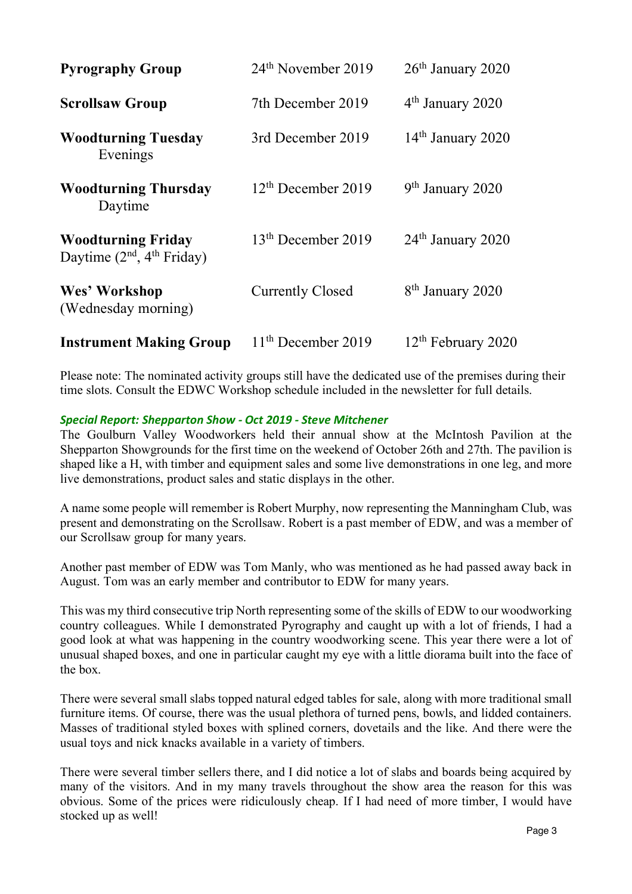| <b>Pyrography Group</b>                                  | 24 <sup>th</sup> November 2019 | 26 <sup>th</sup> January 2020  |
|----------------------------------------------------------|--------------------------------|--------------------------------|
| <b>Scrollsaw Group</b>                                   | 7th December 2019              | $4th$ January 2020             |
| <b>Woodturning Tuesday</b><br>Evenings                   | 3rd December 2019              | $14th$ January 2020            |
| <b>Woodturning Thursday</b><br>Daytime                   | $12th$ December 2019           | $9th$ January 2020             |
| <b>Woodturning Friday</b><br>Daytime $(2nd, 4th Friday)$ | 13 <sup>th</sup> December 2019 | 24 <sup>th</sup> January 2020  |
| Wes' Workshop<br>(Wednesday morning)                     | <b>Currently Closed</b>        | 8 <sup>th</sup> January 2020   |
| <b>Instrument Making Group</b>                           | $11th$ December 2019           | 12 <sup>th</sup> February 2020 |

Please note: The nominated activity groups still have the dedicated use of the premises during their time slots. Consult the EDWC Workshop schedule included in the newsletter for full details.

### *Special Report: Shepparton Show - Oct 2019 - Steve Mitchener*

The Goulburn Valley Woodworkers held their annual show at the McIntosh Pavilion at the Shepparton Showgrounds for the first time on the weekend of October 26th and 27th. The pavilion is shaped like a H, with timber and equipment sales and some live demonstrations in one leg, and more live demonstrations, product sales and static displays in the other.

A name some people will remember is Robert Murphy, now representing the Manningham Club, was present and demonstrating on the Scrollsaw. Robert is a past member of EDW, and was a member of our Scrollsaw group for many years.

Another past member of EDW was Tom Manly, who was mentioned as he had passed away back in August. Tom was an early member and contributor to EDW for many years.

This was my third consecutive trip North representing some of the skills of EDW to our woodworking country colleagues. While I demonstrated Pyrography and caught up with a lot of friends, I had a good look at what was happening in the country woodworking scene. This year there were a lot of unusual shaped boxes, and one in particular caught my eye with a little diorama built into the face of the box.

There were several small slabs topped natural edged tables for sale, along with more traditional small furniture items. Of course, there was the usual plethora of turned pens, bowls, and lidded containers. Masses of traditional styled boxes with splined corners, dovetails and the like. And there were the usual toys and nick knacks available in a variety of timbers.

There were several timber sellers there, and I did notice a lot of slabs and boards being acquired by many of the visitors. And in my many travels throughout the show area the reason for this was obvious. Some of the prices were ridiculously cheap. If I had need of more timber, I would have stocked up as well!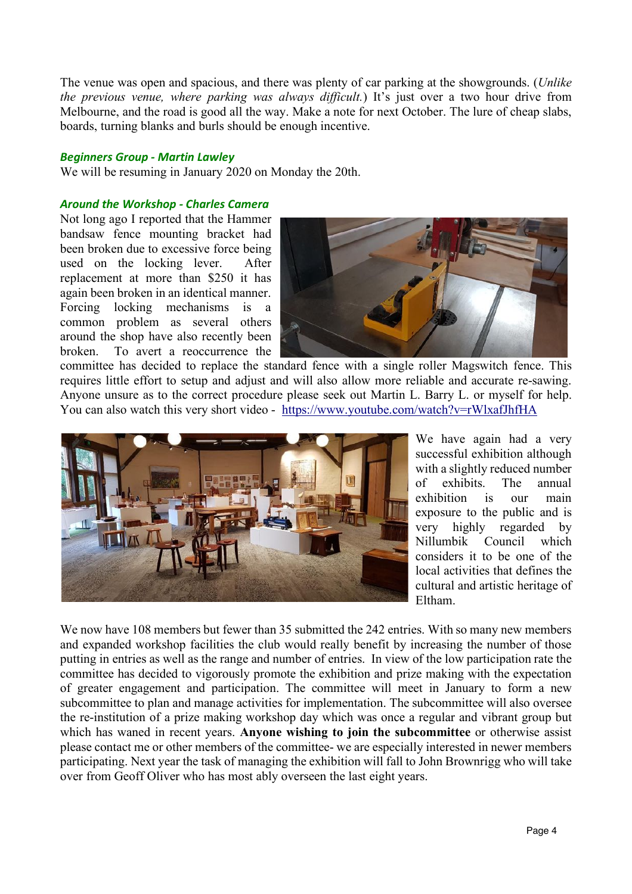The venue was open and spacious, and there was plenty of car parking at the showgrounds. (*Unlike the previous venue, where parking was always difficult.*) It's just over a two hour drive from Melbourne, and the road is good all the way. Make a note for next October. The lure of cheap slabs, boards, turning blanks and burls should be enough incentive.

#### *Beginners Group - Martin Lawley*

We will be resuming in January 2020 on Monday the 20th.

### *Around the Workshop - Charles Camera*

Not long ago I reported that the Hammer bandsaw fence mounting bracket had been broken due to excessive force being used on the locking lever. After replacement at more than \$250 it has again been broken in an identical manner. Forcing locking mechanisms is a common problem as several others around the shop have also recently been broken. To avert a reoccurrence the



committee has decided to replace the standard fence with a single roller Magswitch fence. This requires little effort to setup and adjust and will also allow more reliable and accurate re-sawing. Anyone unsure as to the correct procedure please seek out Martin L. Barry L. or myself for help. You can also watch this very short video - https://www.youtube.com/watch?v=rWlxafJhfHA



We have again had a very successful exhibition although with a slightly reduced number of exhibits. The annual exhibition is our main exposure to the public and is very highly regarded by Nillumbik Council which considers it to be one of the local activities that defines the cultural and artistic heritage of Eltham.

We now have 108 members but fewer than 35 submitted the 242 entries. With so many new members and expanded workshop facilities the club would really benefit by increasing the number of those putting in entries as well as the range and number of entries. In view of the low participation rate the committee has decided to vigorously promote the exhibition and prize making with the expectation of greater engagement and participation. The committee will meet in January to form a new subcommittee to plan and manage activities for implementation. The subcommittee will also oversee the re-institution of a prize making workshop day which was once a regular and vibrant group but which has waned in recent years. **Anyone wishing to join the subcommittee** or otherwise assist please contact me or other members of the committee- we are especially interested in newer members participating. Next year the task of managing the exhibition will fall to John Brownrigg who will take over from Geoff Oliver who has most ably overseen the last eight years.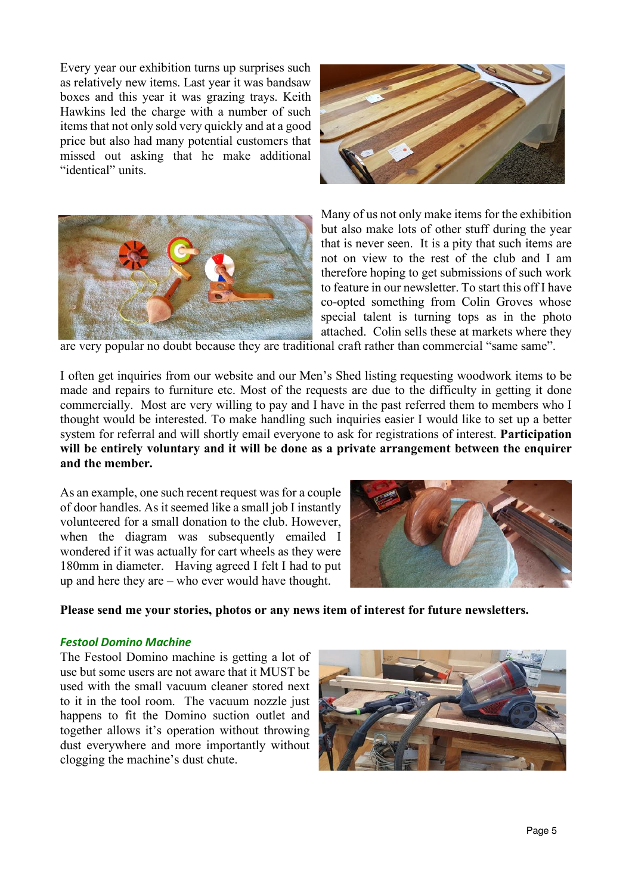Every year our exhibition turns up surprises such as relatively new items. Last year it was bandsaw boxes and this year it was grazing trays. Keith Hawkins led the charge with a number of such items that not only sold very quickly and at a good price but also had many potential customers that missed out asking that he make additional "identical" units.





Many of us not only make items for the exhibition but also make lots of other stuff during the year that is never seen. It is a pity that such items are not on view to the rest of the club and I am therefore hoping to get submissions of such work to feature in our newsletter. To start this off I have co-opted something from Colin Groves whose special talent is turning tops as in the photo attached. Colin sells these at markets where they

are very popular no doubt because they are traditional craft rather than commercial "same same".

I often get inquiries from our website and our Men's Shed listing requesting woodwork items to be made and repairs to furniture etc. Most of the requests are due to the difficulty in getting it done commercially. Most are very willing to pay and I have in the past referred them to members who I thought would be interested. To make handling such inquiries easier I would like to set up a better system for referral and will shortly email everyone to ask for registrations of interest. **Participation will be entirely voluntary and it will be done as a private arrangement between the enquirer and the member.** 

As an example, one such recent request was for a couple of door handles. As it seemed like a small job I instantly volunteered for a small donation to the club. However, when the diagram was subsequently emailed I wondered if it was actually for cart wheels as they were 180mm in diameter. Having agreed I felt I had to put up and here they are – who ever would have thought.



**Please send me your stories, photos or any news item of interest for future newsletters.**

#### *Festool Domino Machine*

The Festool Domino machine is getting a lot of use but some users are not aware that it MUST be used with the small vacuum cleaner stored next to it in the tool room. The vacuum nozzle just happens to fit the Domino suction outlet and together allows it's operation without throwing dust everywhere and more importantly without clogging the machine's dust chute.

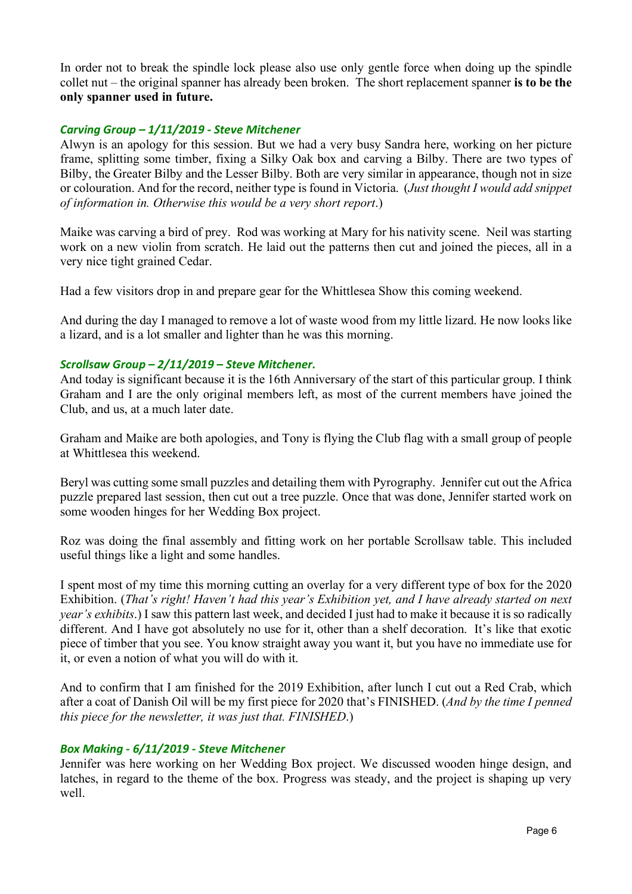In order not to break the spindle lock please also use only gentle force when doing up the spindle collet nut – the original spanner has already been broken. The short replacement spanner **is to be the only spanner used in future.**

#### *Carving Group – 1/11/2019 - Steve Mitchener*

Alwyn is an apology for this session. But we had a very busy Sandra here, working on her picture frame, splitting some timber, fixing a Silky Oak box and carving a Bilby. There are two types of Bilby, the Greater Bilby and the Lesser Bilby. Both are very similar in appearance, though not in size or colouration. And for the record, neither type is found in Victoria. (*Just thought I would add snippet of information in. Otherwise this would be a very short report*.)

Maike was carving a bird of prey. Rod was working at Mary for his nativity scene. Neil was starting work on a new violin from scratch. He laid out the patterns then cut and joined the pieces, all in a very nice tight grained Cedar.

Had a few visitors drop in and prepare gear for the Whittlesea Show this coming weekend.

And during the day I managed to remove a lot of waste wood from my little lizard. He now looks like a lizard, and is a lot smaller and lighter than he was this morning.

#### *Scrollsaw Group – 2/11/2019 – Steve Mitchener.*

And today is significant because it is the 16th Anniversary of the start of this particular group. I think Graham and I are the only original members left, as most of the current members have joined the Club, and us, at a much later date.

Graham and Maike are both apologies, and Tony is flying the Club flag with a small group of people at Whittlesea this weekend.

Beryl was cutting some small puzzles and detailing them with Pyrography. Jennifer cut out the Africa puzzle prepared last session, then cut out a tree puzzle. Once that was done, Jennifer started work on some wooden hinges for her Wedding Box project.

Roz was doing the final assembly and fitting work on her portable Scrollsaw table. This included useful things like a light and some handles.

I spent most of my time this morning cutting an overlay for a very different type of box for the 2020 Exhibition. (*That's right! Haven't had this year's Exhibition yet, and I have already started on next year's exhibits*.) I saw this pattern last week, and decided I just had to make it because it is so radically different. And I have got absolutely no use for it, other than a shelf decoration. It's like that exotic piece of timber that you see. You know straight away you want it, but you have no immediate use for it, or even a notion of what you will do with it.

And to confirm that I am finished for the 2019 Exhibition, after lunch I cut out a Red Crab, which after a coat of Danish Oil will be my first piece for 2020 that's FINISHED. (*And by the time I penned this piece for the newsletter, it was just that. FINISHED*.)

# *Box Making - 6/11/2019 - Steve Mitchener*

Jennifer was here working on her Wedding Box project. We discussed wooden hinge design, and latches, in regard to the theme of the box. Progress was steady, and the project is shaping up very well.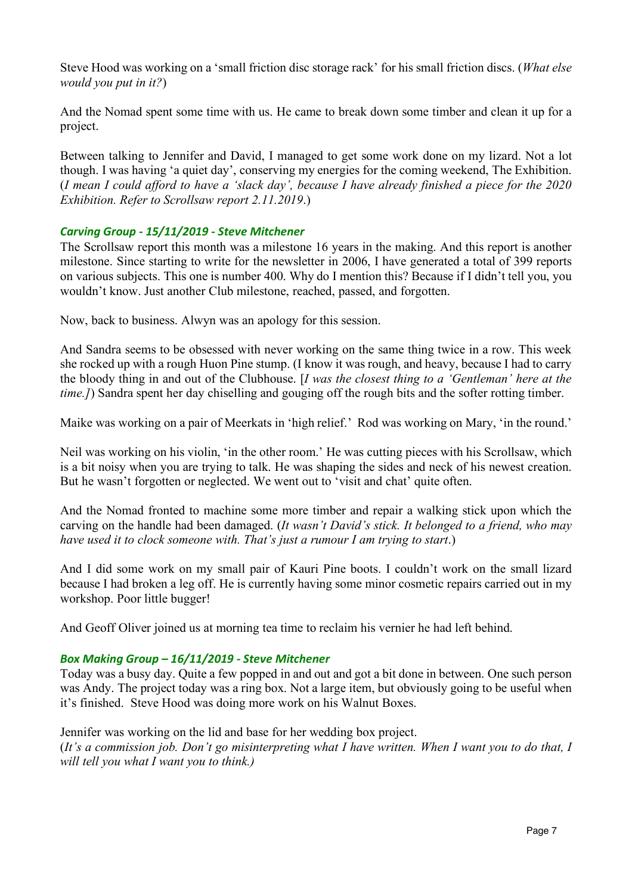Steve Hood was working on a 'small friction disc storage rack' for his small friction discs. (*What else would you put in it?*)

And the Nomad spent some time with us. He came to break down some timber and clean it up for a project.

Between talking to Jennifer and David, I managed to get some work done on my lizard. Not a lot though. I was having 'a quiet day', conserving my energies for the coming weekend, The Exhibition. (*I mean I could afford to have a 'slack day', because I have already finished a piece for the 2020 Exhibition. Refer to Scrollsaw report 2.11.2019*.)

# *Carving Group - 15/11/2019 - Steve Mitchener*

The Scrollsaw report this month was a milestone 16 years in the making. And this report is another milestone. Since starting to write for the newsletter in 2006, I have generated a total of 399 reports on various subjects. This one is number 400. Why do I mention this? Because if I didn't tell you, you wouldn't know. Just another Club milestone, reached, passed, and forgotten.

Now, back to business. Alwyn was an apology for this session.

And Sandra seems to be obsessed with never working on the same thing twice in a row. This week she rocked up with a rough Huon Pine stump. (I know it was rough, and heavy, because I had to carry the bloody thing in and out of the Clubhouse. [*I was the closest thing to a 'Gentleman' here at the time.]*) Sandra spent her day chiselling and gouging off the rough bits and the softer rotting timber.

Maike was working on a pair of Meerkats in 'high relief.' Rod was working on Mary, 'in the round.'

Neil was working on his violin, 'in the other room.' He was cutting pieces with his Scrollsaw, which is a bit noisy when you are trying to talk. He was shaping the sides and neck of his newest creation. But he wasn't forgotten or neglected. We went out to 'visit and chat' quite often.

And the Nomad fronted to machine some more timber and repair a walking stick upon which the carving on the handle had been damaged. (*It wasn't David's stick. It belonged to a friend, who may have used it to clock someone with. That's just a rumour I am trying to start*.)

And I did some work on my small pair of Kauri Pine boots. I couldn't work on the small lizard because I had broken a leg off. He is currently having some minor cosmetic repairs carried out in my workshop. Poor little bugger!

And Geoff Oliver joined us at morning tea time to reclaim his vernier he had left behind.

### *Box Making Group – 16/11/2019 - Steve Mitchener*

Today was a busy day. Quite a few popped in and out and got a bit done in between. One such person was Andy. The project today was a ring box. Not a large item, but obviously going to be useful when it's finished. Steve Hood was doing more work on his Walnut Boxes.

Jennifer was working on the lid and base for her wedding box project. (*It's a commission job. Don't go misinterpreting what I have written. When I want you to do that, I will tell you what I want you to think.)*